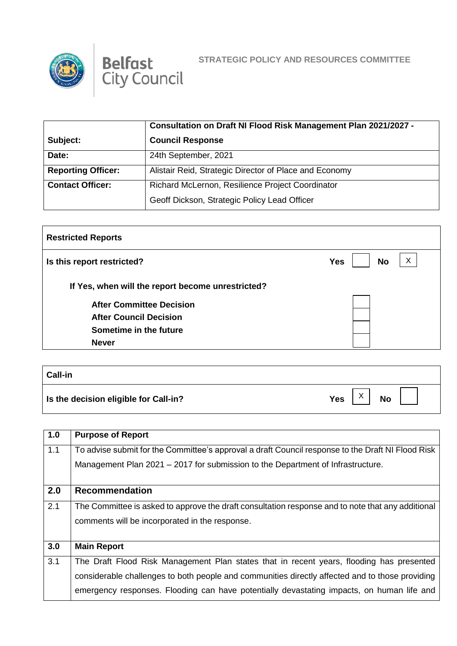



|                           | Consultation on Draft NI Flood Risk Management Plan 2021/2027 - |  |
|---------------------------|-----------------------------------------------------------------|--|
| Subject:                  | <b>Council Response</b>                                         |  |
| Date:                     | 24th September, 2021                                            |  |
| <b>Reporting Officer:</b> | Alistair Reid, Strategic Director of Place and Economy          |  |
| <b>Contact Officer:</b>   | Richard McLernon, Resilience Project Coordinator                |  |
|                           | Geoff Dickson, Strategic Policy Lead Officer                    |  |

| <b>Restricted Reports</b>                         |                              |
|---------------------------------------------------|------------------------------|
| Is this report restricted?                        | X<br><b>No</b><br><b>Yes</b> |
| If Yes, when will the report become unrestricted? |                              |
| <b>After Committee Decision</b>                   |                              |
| <b>After Council Decision</b>                     |                              |
| Sometime in the future                            |                              |
| <b>Never</b>                                      |                              |

| <b>Call-in</b>                        |                                      |
|---------------------------------------|--------------------------------------|
| Is the decision eligible for Call-in? | $\sqrt{}$<br><b>Yes</b><br><b>No</b> |

| 1.0 | <b>Purpose of Report</b>                                                                          |
|-----|---------------------------------------------------------------------------------------------------|
| 1.1 | To advise submit for the Committee's approval a draft Council response to the Draft NI Flood Risk |
|     | Management Plan 2021 - 2017 for submission to the Department of Infrastructure.                   |
|     |                                                                                                   |
| 2.0 | <b>Recommendation</b>                                                                             |
| 2.1 | The Committee is asked to approve the draft consultation response and to note that any additional |
|     | comments will be incorporated in the response.                                                    |
|     |                                                                                                   |
| 3.0 | <b>Main Report</b>                                                                                |
| 3.1 | The Draft Flood Risk Management Plan states that in recent years, flooding has presented          |
|     | considerable challenges to both people and communities directly affected and to those providing   |
|     | emergency responses. Flooding can have potentially devastating impacts, on human life and         |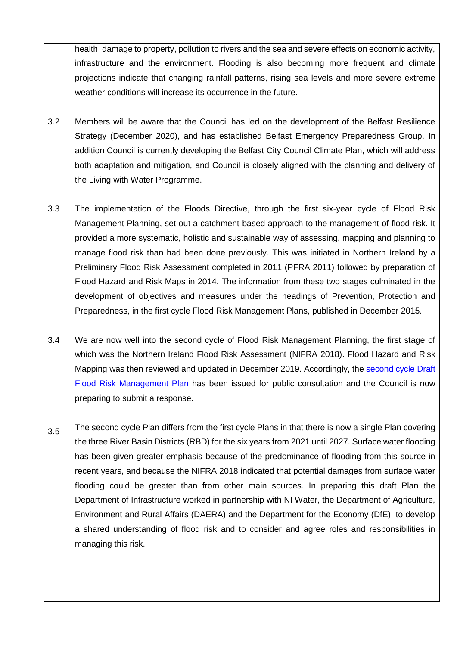health, damage to property, pollution to rivers and the sea and severe effects on economic activity, infrastructure and the environment. Flooding is also becoming more frequent and climate projections indicate that changing rainfall patterns, rising sea levels and more severe extreme weather conditions will increase its occurrence in the future.

- 3.2 Members will be aware that the Council has led on the development of the Belfast Resilience Strategy (December 2020), and has established Belfast Emergency Preparedness Group. In addition Council is currently developing the Belfast City Council Climate Plan, which will address both adaptation and mitigation, and Council is closely aligned with the planning and delivery of the Living with Water Programme.
- 3.3 The implementation of the Floods Directive, through the first six-year cycle of Flood Risk Management Planning, set out a catchment-based approach to the management of flood risk. It provided a more systematic, holistic and sustainable way of assessing, mapping and planning to manage flood risk than had been done previously. This was initiated in Northern Ireland by a Preliminary Flood Risk Assessment completed in 2011 (PFRA 2011) followed by preparation of Flood Hazard and Risk Maps in 2014. The information from these two stages culminated in the development of objectives and measures under the headings of Prevention, Protection and Preparedness, in the first cycle Flood Risk Management Plans, published in December 2015.
- 3.4 We are now well into the second cycle of Flood Risk Management Planning, the first stage of which was the Northern Ireland Flood Risk Assessment (NIFRA 2018). Flood Hazard and Risk Mapping was then reviewed and updated in December 2019. Accordingly, the [second cycle Draft](https://minutes.belfastcity.gov.uk/documents/s93848/Draft%20Flood%20Risk%20Management%20Plan%202021-2027.pdf)  [Flood Risk Management Plan](https://minutes.belfastcity.gov.uk/documents/s93848/Draft%20Flood%20Risk%20Management%20Plan%202021-2027.pdf) has been issued for public consultation and the Council is now preparing to submit a response.
- 3.5 The second cycle Plan differs from the first cycle Plans in that there is now a single Plan covering the three River Basin Districts (RBD) for the six years from 2021 until 2027. Surface water flooding has been given greater emphasis because of the predominance of flooding from this source in recent years, and because the NIFRA 2018 indicated that potential damages from surface water flooding could be greater than from other main sources. In preparing this draft Plan the Department of Infrastructure worked in partnership with NI Water, the Department of Agriculture, Environment and Rural Affairs (DAERA) and the Department for the Economy (DfE), to develop a shared understanding of flood risk and to consider and agree roles and responsibilities in managing this risk.